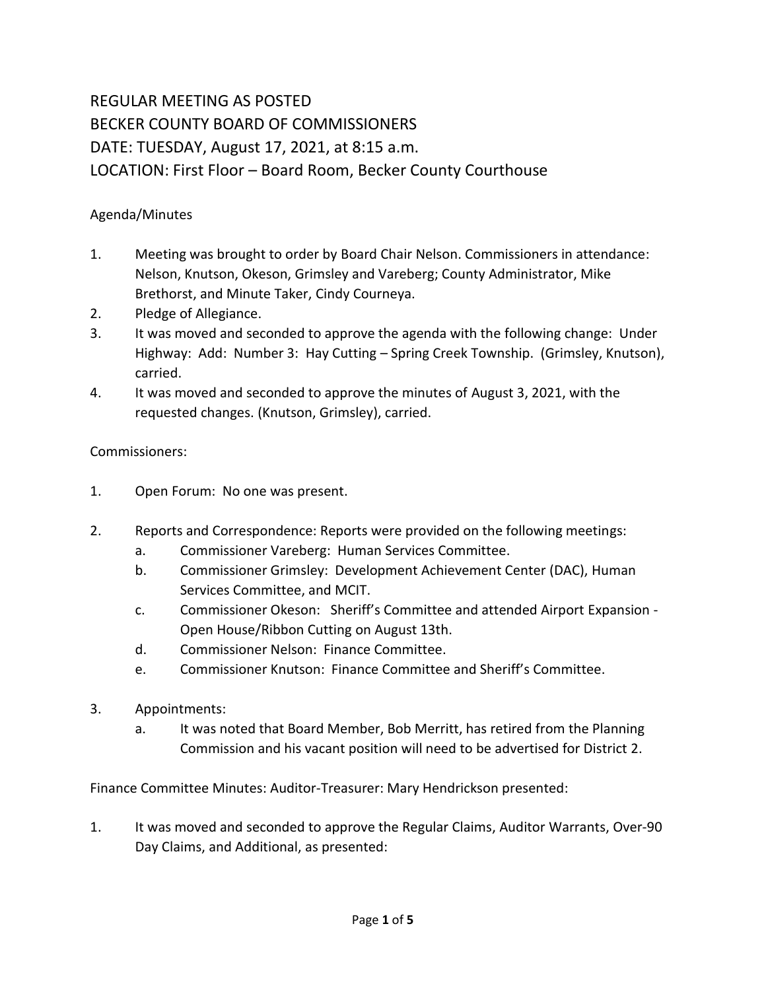# REGULAR MEETING AS POSTED BECKER COUNTY BOARD OF COMMISSIONERS DATE: TUESDAY, August 17, 2021, at 8:15 a.m. LOCATION: First Floor – Board Room, Becker County Courthouse

# Agenda/Minutes

- 1. Meeting was brought to order by Board Chair Nelson. Commissioners in attendance: Nelson, Knutson, Okeson, Grimsley and Vareberg; County Administrator, Mike Brethorst, and Minute Taker, Cindy Courneya.
- 2. Pledge of Allegiance.
- 3. It was moved and seconded to approve the agenda with the following change: Under Highway: Add: Number 3: Hay Cutting – Spring Creek Township. (Grimsley, Knutson), carried.
- 4. It was moved and seconded to approve the minutes of August 3, 2021, with the requested changes. (Knutson, Grimsley), carried.

# Commissioners:

- 1. Open Forum: No one was present.
- 2. Reports and Correspondence: Reports were provided on the following meetings:
	- a. Commissioner Vareberg: Human Services Committee.
	- b. Commissioner Grimsley: Development Achievement Center (DAC), Human Services Committee, and MCIT.
	- c. Commissioner Okeson: Sheriff's Committee and attended Airport Expansion Open House/Ribbon Cutting on August 13th.
	- d. Commissioner Nelson: Finance Committee.
	- e. Commissioner Knutson: Finance Committee and Sheriff's Committee.
- 3. Appointments:
	- a. It was noted that Board Member, Bob Merritt, has retired from the Planning Commission and his vacant position will need to be advertised for District 2.

Finance Committee Minutes: Auditor-Treasurer: Mary Hendrickson presented:

1. It was moved and seconded to approve the Regular Claims, Auditor Warrants, Over-90 Day Claims, and Additional, as presented: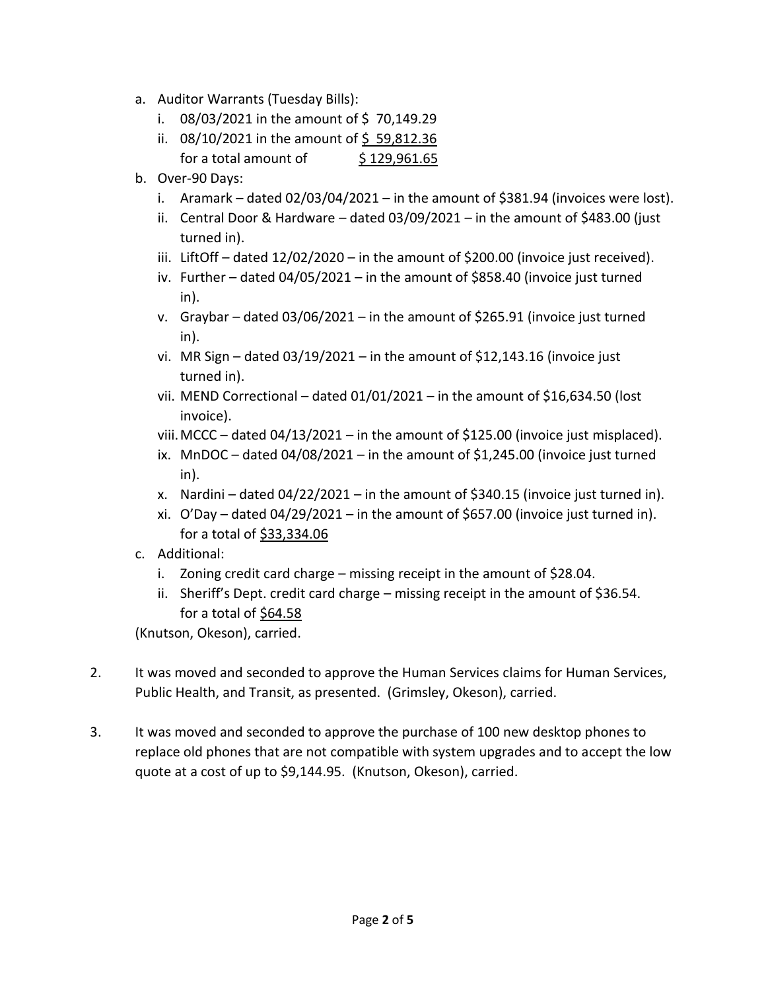- a. Auditor Warrants (Tuesday Bills):
	- i. 08/03/2021 in the amount of \$70,149.29
	- ii. 08/10/2021 in the amount of \$59,812.36 for a total amount of  $\qquad$  \$ 129,961.65
- b. Over-90 Days:
	- i. Aramark dated  $02/03/04/2021$  in the amount of \$381.94 (invoices were lost).
	- ii. Central Door & Hardware dated 03/09/2021 in the amount of \$483.00 (just turned in).
	- iii. LiftOff dated 12/02/2020 in the amount of \$200.00 (invoice just received).
	- iv. Further dated 04/05/2021 in the amount of \$858.40 (invoice just turned in).
	- v. Graybar dated 03/06/2021 in the amount of \$265.91 (invoice just turned in).
	- vi. MR Sign dated  $03/19/2021$  in the amount of \$12,143.16 (invoice just turned in).
	- vii. MEND Correctional dated  $01/01/2021$  in the amount of \$16,634.50 (lost invoice).
	- viii.MCCC dated 04/13/2021 in the amount of \$125.00 (invoice just misplaced).
	- ix. MnDOC dated  $04/08/2021$  in the amount of \$1,245.00 (invoice just turned in).
	- x. Nardini dated 04/22/2021 in the amount of \$340.15 (invoice just turned in).
	- xi. O'Day dated  $04/29/2021$  in the amount of \$657.00 (invoice just turned in). for a total of  $$33,334.06$
- c. Additional:
	- i. Zoning credit card charge missing receipt in the amount of \$28.04.
	- ii. Sheriff's Dept. credit card charge missing receipt in the amount of \$36.54. for a total of \$64.58

(Knutson, Okeson), carried.

- 2. It was moved and seconded to approve the Human Services claims for Human Services, Public Health, and Transit, as presented. (Grimsley, Okeson), carried.
- 3. It was moved and seconded to approve the purchase of 100 new desktop phones to replace old phones that are not compatible with system upgrades and to accept the low quote at a cost of up to \$9,144.95. (Knutson, Okeson), carried.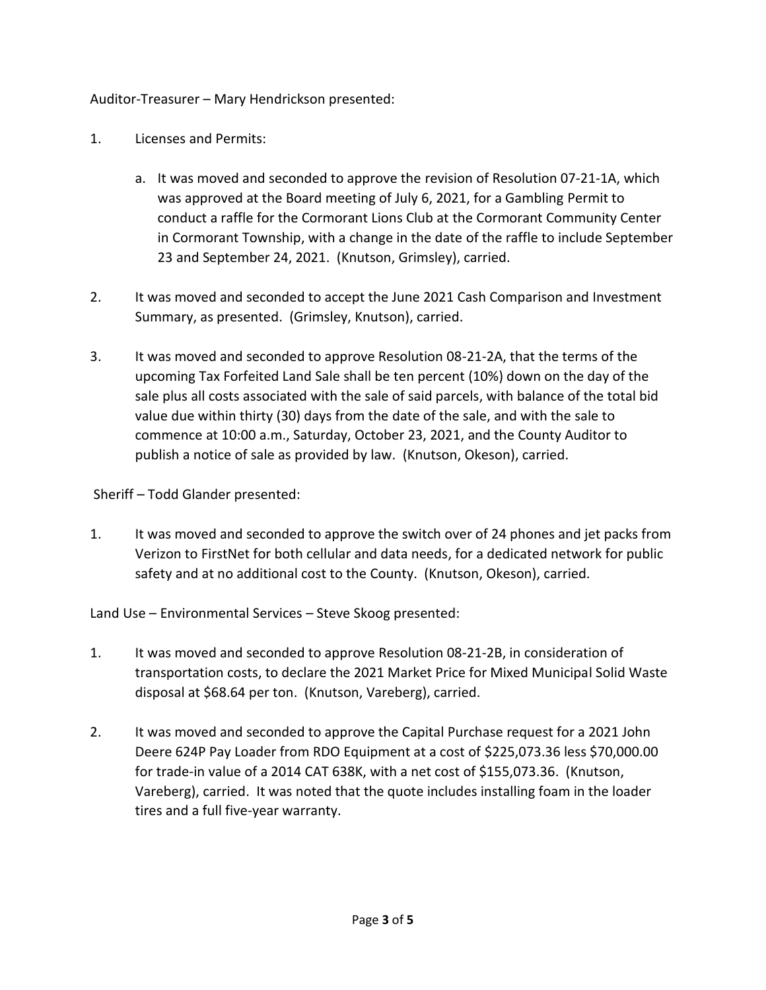# Auditor-Treasurer – Mary Hendrickson presented:

- 1. Licenses and Permits:
	- a. It was moved and seconded to approve the revision of Resolution 07-21-1A, which was approved at the Board meeting of July 6, 2021, for a Gambling Permit to conduct a raffle for the Cormorant Lions Club at the Cormorant Community Center in Cormorant Township, with a change in the date of the raffle to include September 23 and September 24, 2021. (Knutson, Grimsley), carried.
- 2. It was moved and seconded to accept the June 2021 Cash Comparison and Investment Summary, as presented. (Grimsley, Knutson), carried.
- 3. It was moved and seconded to approve Resolution 08-21-2A, that the terms of the upcoming Tax Forfeited Land Sale shall be ten percent (10%) down on the day of the sale plus all costs associated with the sale of said parcels, with balance of the total bid value due within thirty (30) days from the date of the sale, and with the sale to commence at 10:00 a.m., Saturday, October 23, 2021, and the County Auditor to publish a notice of sale as provided by law. (Knutson, Okeson), carried.

Sheriff – Todd Glander presented:

1. It was moved and seconded to approve the switch over of 24 phones and jet packs from Verizon to FirstNet for both cellular and data needs, for a dedicated network for public safety and at no additional cost to the County. (Knutson, Okeson), carried.

Land Use – Environmental Services – Steve Skoog presented:

- 1. It was moved and seconded to approve Resolution 08-21-2B, in consideration of transportation costs, to declare the 2021 Market Price for Mixed Municipal Solid Waste disposal at \$68.64 per ton. (Knutson, Vareberg), carried.
- 2. It was moved and seconded to approve the Capital Purchase request for a 2021 John Deere 624P Pay Loader from RDO Equipment at a cost of \$225,073.36 less \$70,000.00 for trade-in value of a 2014 CAT 638K, with a net cost of \$155,073.36. (Knutson, Vareberg), carried. It was noted that the quote includes installing foam in the loader tires and a full five-year warranty.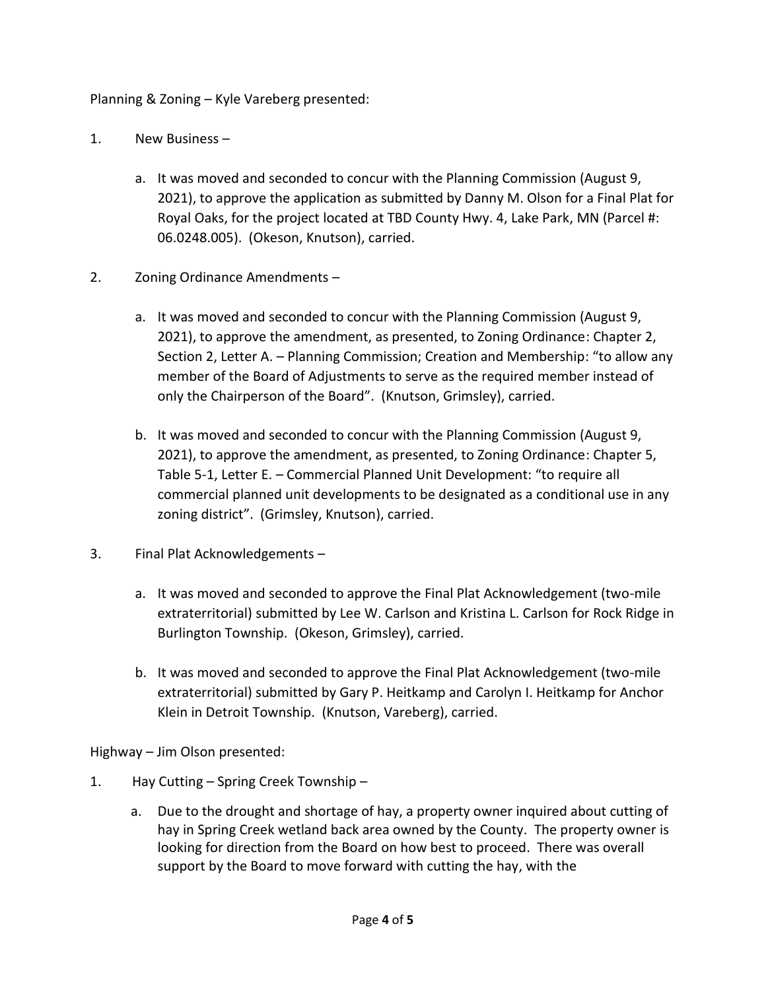# Planning & Zoning – Kyle Vareberg presented:

- 1. New Business
	- a. It was moved and seconded to concur with the Planning Commission (August 9, 2021), to approve the application as submitted by Danny M. Olson for a Final Plat for Royal Oaks, for the project located at TBD County Hwy. 4, Lake Park, MN (Parcel #: 06.0248.005). (Okeson, Knutson), carried.
- 2. Zoning Ordinance Amendments
	- a. It was moved and seconded to concur with the Planning Commission (August 9, 2021), to approve the amendment, as presented, to Zoning Ordinance: Chapter 2, Section 2, Letter A. – Planning Commission; Creation and Membership: "to allow any member of the Board of Adjustments to serve as the required member instead of only the Chairperson of the Board". (Knutson, Grimsley), carried.
	- b. It was moved and seconded to concur with the Planning Commission (August 9, 2021), to approve the amendment, as presented, to Zoning Ordinance: Chapter 5, Table 5-1, Letter E. – Commercial Planned Unit Development: "to require all commercial planned unit developments to be designated as a conditional use in any zoning district". (Grimsley, Knutson), carried.
- 3. Final Plat Acknowledgements
	- a. It was moved and seconded to approve the Final Plat Acknowledgement (two-mile extraterritorial) submitted by Lee W. Carlson and Kristina L. Carlson for Rock Ridge in Burlington Township. (Okeson, Grimsley), carried.
	- b. It was moved and seconded to approve the Final Plat Acknowledgement (two-mile extraterritorial) submitted by Gary P. Heitkamp and Carolyn I. Heitkamp for Anchor Klein in Detroit Township. (Knutson, Vareberg), carried.

Highway – Jim Olson presented:

- 1. Hay Cutting Spring Creek Township
	- a. Due to the drought and shortage of hay, a property owner inquired about cutting of hay in Spring Creek wetland back area owned by the County. The property owner is looking for direction from the Board on how best to proceed. There was overall support by the Board to move forward with cutting the hay, with the